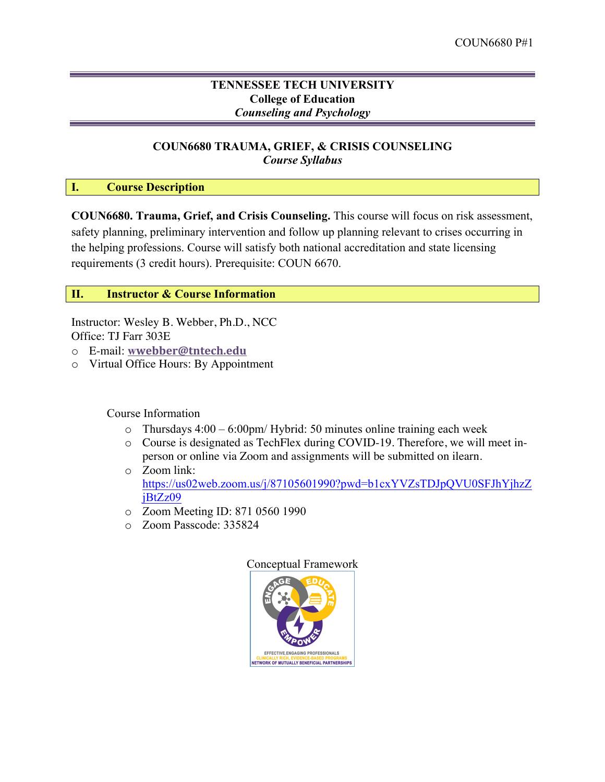## **TENNESSEE TECH UNIVERSITY College of Education** *Counseling and Psychology*

## **COUN6680 TRAUMA, GRIEF, & CRISIS COUNSELING** *Course Syllabus*

#### **I. Course Description**

**COUN6680. Trauma, Grief, and Crisis Counseling.** This course will focus on risk assessment, safety planning, preliminary intervention and follow up planning relevant to crises occurring in the helping professions. Course will satisfy both national accreditation and state licensing requirements (3 credit hours). Prerequisite: COUN 6670.

#### **II. Instructor & Course Information**

Instructor: Wesley B. Webber, Ph.D., NCC Office: TJ Farr 303E

- o E-mail: **wwebber@tntech.edu**
- o Virtual Office Hours: By Appointment

Course Information

- o Thursdays 4:00 6:00pm/ Hybrid: 50 minutes online training each week
- o Course is designated as TechFlex during COVID-19. Therefore, we will meet inperson or online via Zoom and assignments will be submitted on ilearn.
- o Zoom link: https://us02web.zoom.us/j/87105601990?pwd=b1cxYVZsTDJpQVU0SFJhYjhzZ iBtZz09
- o Zoom Meeting ID: 871 0560 1990
- o Zoom Passcode: 335824

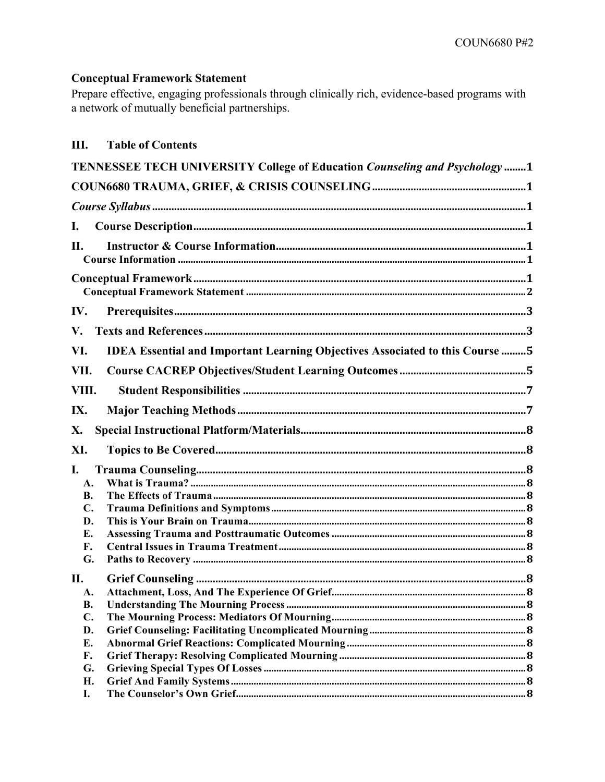# **Conceptual Framework Statement**

Prepare effective, engaging professionals through clinically rich, evidence-based programs with a network of mutually beneficial partnerships.

#### III. **Table of Contents**

| TENNESSEE TECH UNIVERSITY College of Education Counseling and Psychology 1          |  |
|-------------------------------------------------------------------------------------|--|
|                                                                                     |  |
|                                                                                     |  |
| Ι.                                                                                  |  |
| II.                                                                                 |  |
|                                                                                     |  |
| IV.                                                                                 |  |
| V.                                                                                  |  |
| IDEA Essential and Important Learning Objectives Associated to this Course 5<br>VI. |  |
| VII.                                                                                |  |
| VIII.                                                                               |  |
| IX.                                                                                 |  |
| X.                                                                                  |  |
| XI.                                                                                 |  |
|                                                                                     |  |
| I.                                                                                  |  |
| A.                                                                                  |  |
| В.<br>$\mathbf{C}$ .                                                                |  |
| D.                                                                                  |  |
| Е.                                                                                  |  |
| F.                                                                                  |  |
| G.                                                                                  |  |
| II.                                                                                 |  |
| A.                                                                                  |  |
| В.                                                                                  |  |
| C.                                                                                  |  |
| D.                                                                                  |  |
| Е.                                                                                  |  |
| F.                                                                                  |  |
| G.                                                                                  |  |
| Н.                                                                                  |  |
| I.                                                                                  |  |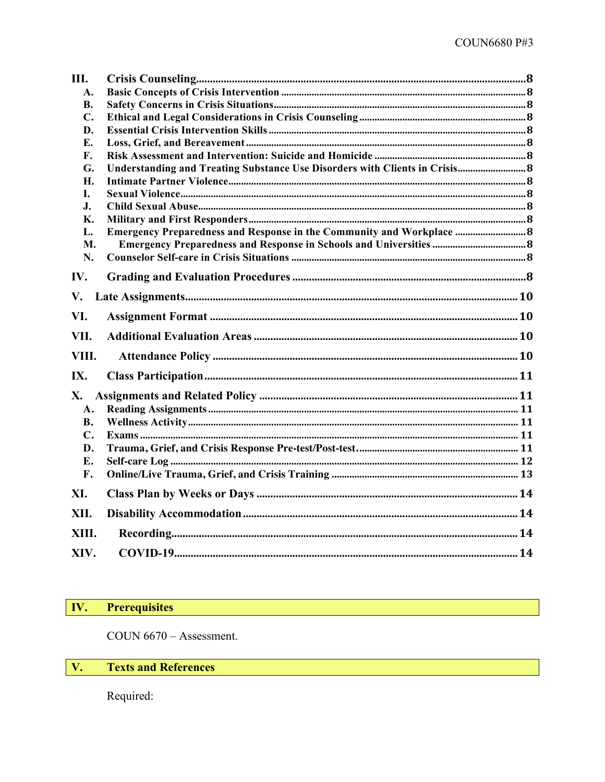| Ш.             |                                                                             |  |
|----------------|-----------------------------------------------------------------------------|--|
| A.             |                                                                             |  |
| В.             |                                                                             |  |
| $\mathbf{C}$ . |                                                                             |  |
| D.             |                                                                             |  |
| Е.             |                                                                             |  |
| F.             |                                                                             |  |
| G.             | Understanding and Treating Substance Use Disorders with Clients in Crisis 8 |  |
| Н.             |                                                                             |  |
| L.             |                                                                             |  |
| J.             |                                                                             |  |
| <b>K.</b>      |                                                                             |  |
| $\mathbf{L}$   | Emergency Preparedness and Response in the Community and Workplace  8       |  |
| M.             |                                                                             |  |
| N.             |                                                                             |  |
| IV.            |                                                                             |  |
| V.             |                                                                             |  |
| VI.            |                                                                             |  |
| VII.           |                                                                             |  |
| VIII.          |                                                                             |  |
| IX.            |                                                                             |  |
| <b>X.</b>      |                                                                             |  |
| A.             |                                                                             |  |
| <b>B.</b>      |                                                                             |  |
| $\mathbf{C}$ . |                                                                             |  |
| D.             |                                                                             |  |
| Е.             |                                                                             |  |
| F.             |                                                                             |  |
| XI.            |                                                                             |  |
| XII.           |                                                                             |  |
| XIII.          |                                                                             |  |
| XIV.           |                                                                             |  |

#### IV. Prerequisites

COUN 6670 - Assessment.

#### V. **Texts and References**

Required: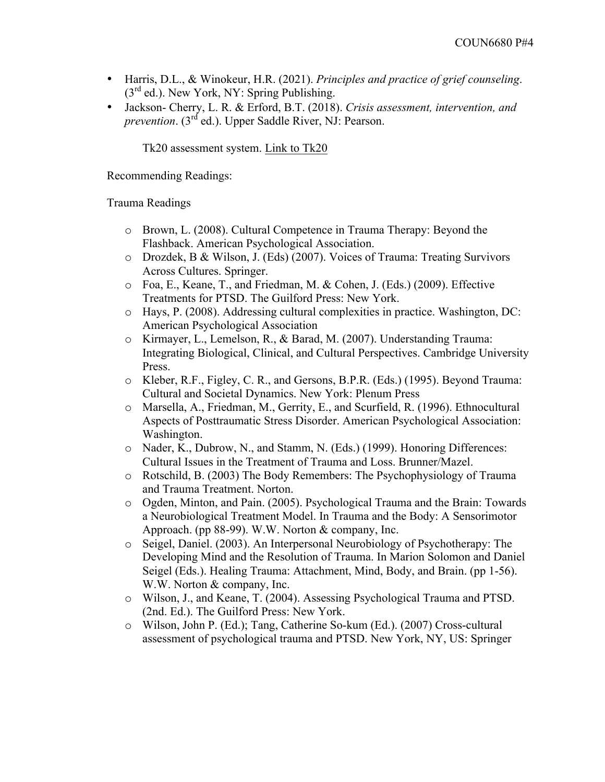- Harris, D.L., & Winokeur, H.R. (2021). *Principles and practice of grief counseling*.  $(3<sup>rd</sup>$  ed.). New York, NY: Spring Publishing.
- Jackson- Cherry, L. R. & Erford, B.T. (2018). *Crisis assessment, intervention, and prevention.* (3<sup>rd</sup> ed.). Upper Saddle River, NJ: Pearson.

Tk20 assessment system. Link to Tk20

Recommending Readings:

Trauma Readings

- o Brown, L. (2008). Cultural Competence in Trauma Therapy: Beyond the Flashback. American Psychological Association.
- o Drozdek, B & Wilson, J. (Eds) (2007). Voices of Trauma: Treating Survivors Across Cultures. Springer.
- o Foa, E., Keane, T., and Friedman, M. & Cohen, J. (Eds.) (2009). Effective Treatments for PTSD. The Guilford Press: New York.
- o Hays, P. (2008). Addressing cultural complexities in practice. Washington, DC: American Psychological Association
- o Kirmayer, L., Lemelson, R., & Barad, M. (2007). Understanding Trauma: Integrating Biological, Clinical, and Cultural Perspectives. Cambridge University Press.
- o Kleber, R.F., Figley, C. R., and Gersons, B.P.R. (Eds.) (1995). Beyond Trauma: Cultural and Societal Dynamics. New York: Plenum Press
- o Marsella, A., Friedman, M., Gerrity, E., and Scurfield, R. (1996). Ethnocultural Aspects of Posttraumatic Stress Disorder. American Psychological Association: Washington.
- o Nader, K., Dubrow, N., and Stamm, N. (Eds.) (1999). Honoring Differences: Cultural Issues in the Treatment of Trauma and Loss. Brunner/Mazel.
- o Rotschild, B. (2003) The Body Remembers: The Psychophysiology of Trauma and Trauma Treatment. Norton.
- o Ogden, Minton, and Pain. (2005). Psychological Trauma and the Brain: Towards a Neurobiological Treatment Model. In Trauma and the Body: A Sensorimotor Approach. (pp 88-99). W.W. Norton & company, Inc.
- o Seigel, Daniel. (2003). An Interpersonal Neurobiology of Psychotherapy: The Developing Mind and the Resolution of Trauma. In Marion Solomon and Daniel Seigel (Eds.). Healing Trauma: Attachment, Mind, Body, and Brain. (pp 1-56). W.W. Norton & company, Inc.
- o Wilson, J., and Keane, T. (2004). Assessing Psychological Trauma and PTSD. (2nd. Ed.). The Guilford Press: New York.
- o Wilson, John P. (Ed.); Tang, Catherine So-kum (Ed.). (2007) Cross-cultural assessment of psychological trauma and PTSD. New York, NY, US: Springer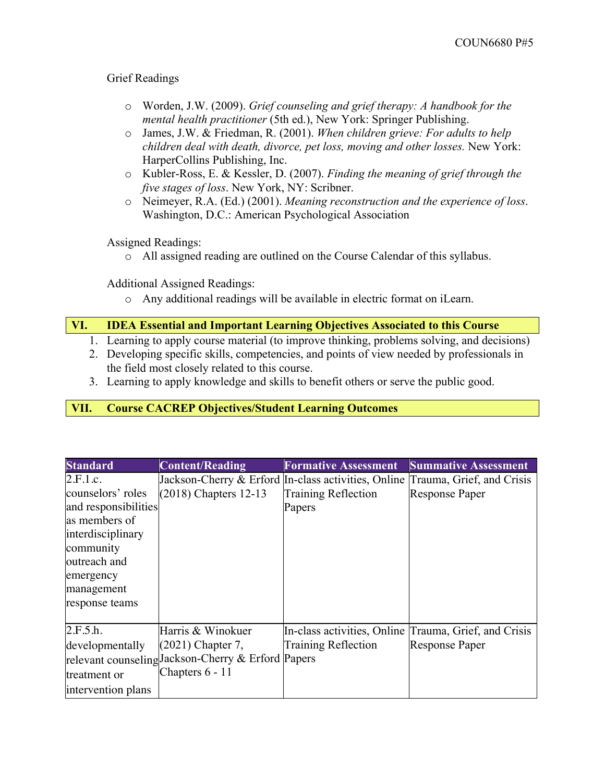## Grief Readings

- o Worden, J.W. (2009). *Grief counseling and grief therapy: A handbook for the mental health practitioner* (5th ed.), New York: Springer Publishing.
- o James, J.W. & Friedman, R. (2001). *When children grieve: For adults to help children deal with death, divorce, pet loss, moving and other losses.* New York: HarperCollins Publishing, Inc.
- o Kubler-Ross, E. & Kessler, D. (2007). *Finding the meaning of grief through the five stages of loss*. New York, NY: Scribner.
- o Neimeyer, R.A. (Ed.) (2001). *Meaning reconstruction and the experience of loss*. Washington, D.C.: American Psychological Association

Assigned Readings:

o All assigned reading are outlined on the Course Calendar of this syllabus.

Additional Assigned Readings:

o Any additional readings will be available in electric format on iLearn.

#### **VI. IDEA Essential and Important Learning Objectives Associated to this Course**

- 1. Learning to apply course material (to improve thinking, problems solving, and decisions)
- 2. Developing specific skills, competencies, and points of view needed by professionals in the field most closely related to this course.
- 3. Learning to apply knowledge and skills to benefit others or serve the public good.

## **VII. Course CACREP Objectives/Student Learning Outcomes**

| <b>Standard</b>      | <b>Content/Reading</b>                             | <b>Formative Assessment</b>                         | <b>Summative Assessment</b> |
|----------------------|----------------------------------------------------|-----------------------------------------------------|-----------------------------|
| 2.F.1.c.             |                                                    | Jackson-Cherry & Erford In-class activities, Online | Trauma, Grief, and Crisis   |
| counselors' roles    | $(2018)$ Chapters 12-13                            | <b>Training Reflection</b>                          | <b>Response Paper</b>       |
| and responsibilities |                                                    | Papers                                              |                             |
| as members of        |                                                    |                                                     |                             |
| interdisciplinary    |                                                    |                                                     |                             |
| community            |                                                    |                                                     |                             |
| outreach and         |                                                    |                                                     |                             |
| emergency            |                                                    |                                                     |                             |
| management           |                                                    |                                                     |                             |
| response teams       |                                                    |                                                     |                             |
|                      |                                                    |                                                     |                             |
| 2.F.5.h.             | Harris & Winokuer                                  | In-class activities, Online                         | Trauma, Grief, and Crisis   |
| developmentally      | $(2021)$ Chapter 7,                                | <b>Training Reflection</b>                          | <b>Response Paper</b>       |
|                      | relevant counseling Jackson-Cherry & Erford Papers |                                                     |                             |
| treatment or         | Chapters 6 - 11                                    |                                                     |                             |
| intervention plans   |                                                    |                                                     |                             |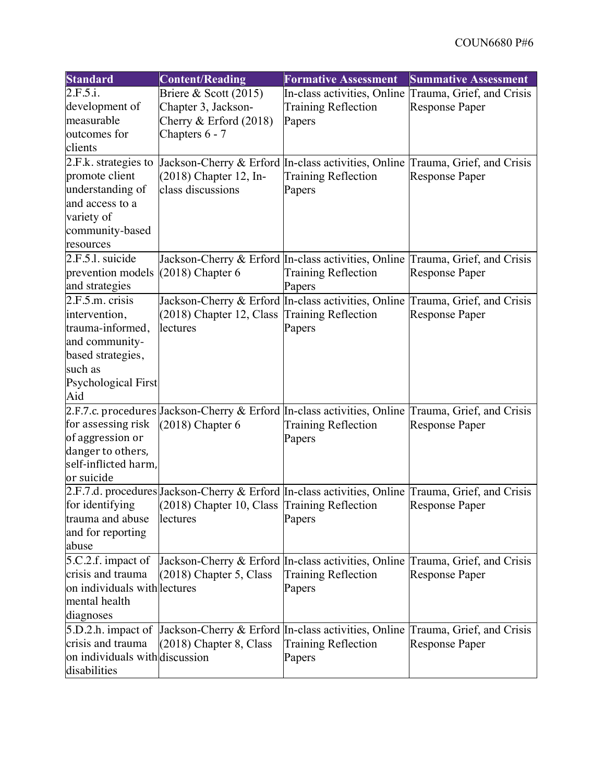| <b>Standard</b>                | <b>Content/Reading</b>                                                      | <b>Formative Assessment</b>                                                   | <b>Summative Assessment</b> |
|--------------------------------|-----------------------------------------------------------------------------|-------------------------------------------------------------------------------|-----------------------------|
| 2.F.5.i.                       | Briere & Scott $(2015)$                                                     | In-class activities, Online                                                   | Trauma, Grief, and Crisis   |
| development of                 | Chapter 3, Jackson-                                                         | <b>Training Reflection</b>                                                    | <b>Response Paper</b>       |
| measurable                     | Cherry & Erford (2018)                                                      | Papers                                                                        |                             |
| outcomes for                   | Chapters 6 - 7                                                              |                                                                               |                             |
| clients                        |                                                                             |                                                                               |                             |
| 2.F.k. strategies to           |                                                                             | Jackson-Cherry & Erford In-class activities, Online                           | Trauma, Grief, and Crisis   |
| promote client                 | $(2018)$ Chapter 12, In-                                                    | <b>Training Reflection</b>                                                    | <b>Response Paper</b>       |
| understanding of               | class discussions                                                           | Papers                                                                        |                             |
| and access to a                |                                                                             |                                                                               |                             |
| variety of                     |                                                                             |                                                                               |                             |
| community-based                |                                                                             |                                                                               |                             |
| resources                      |                                                                             |                                                                               |                             |
| $2.F.5.1$ . suicide            |                                                                             | Jackson-Cherry & Erford In-class activities, Online                           | Trauma, Grief, and Crisis   |
| prevention models              | $(2018)$ Chapter 6                                                          | <b>Training Reflection</b>                                                    | Response Paper              |
| and strategies                 |                                                                             | Papers                                                                        |                             |
| 2.F.5.m. crisis                |                                                                             | Jackson-Cherry & Erford In-class activities, Online                           | Trauma, Grief, and Crisis   |
| intervention,                  | (2018) Chapter 12, Class                                                    | <b>Training Reflection</b>                                                    | <b>Response Paper</b>       |
| trauma-informed,               | lectures                                                                    | Papers                                                                        |                             |
| and community-                 |                                                                             |                                                                               |                             |
| based strategies,              |                                                                             |                                                                               |                             |
| such as                        |                                                                             |                                                                               |                             |
| Psychological First            |                                                                             |                                                                               |                             |
| Aid                            |                                                                             |                                                                               |                             |
|                                | 2.F.7.c. procedures Jackson-Cherry & Erford In-class activities, Online     |                                                                               | Trauma, Grief, and Crisis   |
| for assessing risk             | $(2018)$ Chapter 6                                                          | <b>Training Reflection</b>                                                    | <b>Response Paper</b>       |
| of aggression or               |                                                                             | Papers                                                                        |                             |
| danger to others,              |                                                                             |                                                                               |                             |
| self-inflicted harm,           |                                                                             |                                                                               |                             |
| or suicide                     |                                                                             |                                                                               |                             |
|                                |                                                                             | 2.F.7.d. procedures Jackson-Cherry & Erford In-class activities, Online       | Trauma, Grief, and Crisis   |
| for identifying                | (2018) Chapter 10, Class Training Reflection                                |                                                                               | <b>Response Paper</b>       |
| trauma and abuse               | lectures                                                                    | Papers                                                                        |                             |
| and for reporting              |                                                                             |                                                                               |                             |
| abuse                          |                                                                             |                                                                               |                             |
| 5.C.2.f. impact of             |                                                                             | Jackson-Cherry & Erford In-class activities, Online Trauma, Grief, and Crisis |                             |
| crisis and trauma              | $(2018)$ Chapter 5, Class                                                   | <b>Training Reflection</b>                                                    | <b>Response Paper</b>       |
| on individuals with lectures   |                                                                             | Papers                                                                        |                             |
| mental health                  |                                                                             |                                                                               |                             |
| diagnoses                      |                                                                             |                                                                               |                             |
|                                | 5.D.2.h. impact of $ Jackson-Cherry & Erford   In-class activities, Online$ |                                                                               | Trauma, Grief, and Crisis   |
| crisis and trauma              | $(2018)$ Chapter 8, Class                                                   | <b>Training Reflection</b>                                                    | <b>Response Paper</b>       |
| on individuals with discussion |                                                                             | Papers                                                                        |                             |
| disabilities                   |                                                                             |                                                                               |                             |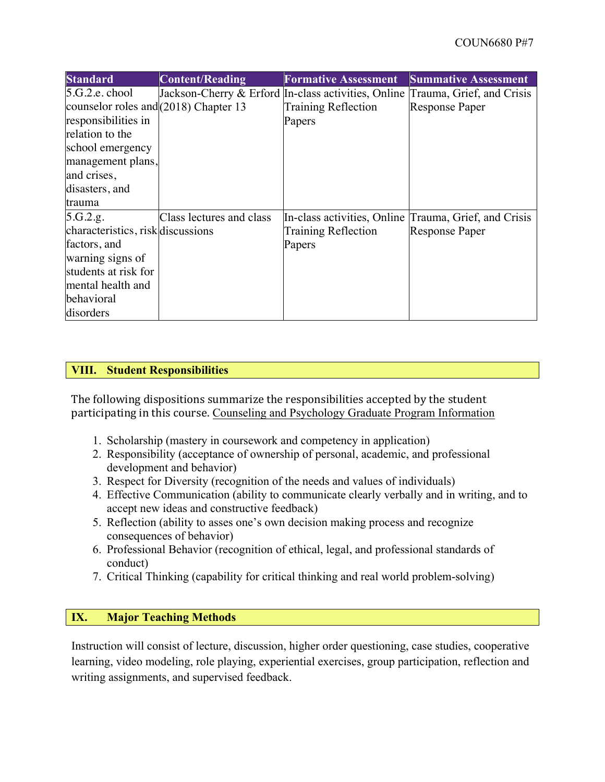| <b>Standard</b>                       | <b>Content/Reading</b>                              | <b>Formative Assessment</b> | <b>Summative Assessment</b> |
|---------------------------------------|-----------------------------------------------------|-----------------------------|-----------------------------|
| $5.G.2.e.$ chool                      | Jackson-Cherry & Erford In-class activities, Online |                             | Trauma, Grief, and Crisis   |
| counselor roles and (2018) Chapter 13 |                                                     | <b>Training Reflection</b>  | <b>Response Paper</b>       |
| responsibilities in                   |                                                     | Papers                      |                             |
| relation to the                       |                                                     |                             |                             |
| school emergency                      |                                                     |                             |                             |
| management plans,                     |                                                     |                             |                             |
| and crises,                           |                                                     |                             |                             |
| disasters, and                        |                                                     |                             |                             |
| trauma                                |                                                     |                             |                             |
| 5.G.2.g.                              | Class lectures and class                            | In-class activities, Online | Trauma, Grief, and Crisis   |
| characteristics, risk discussions     |                                                     | <b>Training Reflection</b>  | <b>Response Paper</b>       |
| factors, and                          |                                                     | Papers                      |                             |
| warning signs of                      |                                                     |                             |                             |
| students at risk for                  |                                                     |                             |                             |
| mental health and                     |                                                     |                             |                             |
| behavioral                            |                                                     |                             |                             |
| disorders                             |                                                     |                             |                             |

## **VIII. Student Responsibilities**

The following dispositions summarize the responsibilities accepted by the student participating in this course. Counseling and Psychology Graduate Program Information

- 1. Scholarship (mastery in coursework and competency in application)
- 2. Responsibility (acceptance of ownership of personal, academic, and professional development and behavior)
- 3. Respect for Diversity (recognition of the needs and values of individuals)
- 4. Effective Communication (ability to communicate clearly verbally and in writing, and to accept new ideas and constructive feedback)
- 5. Reflection (ability to asses one's own decision making process and recognize consequences of behavior)
- 6. Professional Behavior (recognition of ethical, legal, and professional standards of conduct)
- 7. Critical Thinking (capability for critical thinking and real world problem-solving)

## **IX. Major Teaching Methods**

Instruction will consist of lecture, discussion, higher order questioning, case studies, cooperative learning, video modeling, role playing, experiential exercises, group participation, reflection and writing assignments, and supervised feedback.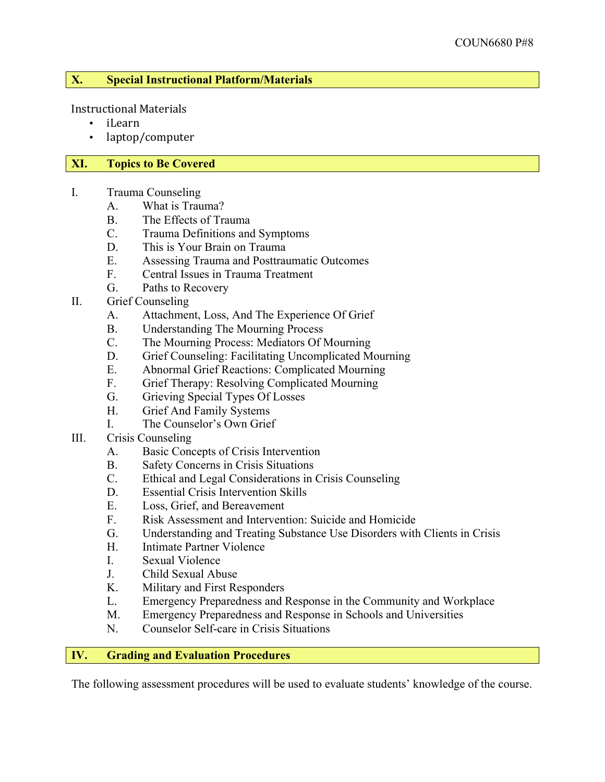#### **X. Special Instructional Platform/Materials**

Instructional Materials 

- iLearn
- laptop/computer

#### **XI. Topics to Be Covered**

- I. Trauma Counseling
	- A. What is Trauma?
	- B. The Effects of Trauma
	- C. Trauma Definitions and Symptoms
	- D. This is Your Brain on Trauma
	- E. Assessing Trauma and Posttraumatic Outcomes
	- F. Central Issues in Trauma Treatment
	- G. Paths to Recovery
- II. Grief Counseling
	- A. Attachment, Loss, And The Experience Of Grief
	- B. Understanding The Mourning Process
	- C. The Mourning Process: Mediators Of Mourning
	- D. Grief Counseling: Facilitating Uncomplicated Mourning
	- E. Abnormal Grief Reactions: Complicated Mourning
	- F. Grief Therapy: Resolving Complicated Mourning
	- G. Grieving Special Types Of Losses
	- H. Grief And Family Systems
	- I. The Counselor's Own Grief
- III. Crisis Counseling
	- A. Basic Concepts of Crisis Intervention
	- B. Safety Concerns in Crisis Situations
	- C. Ethical and Legal Considerations in Crisis Counseling
	- D. Essential Crisis Intervention Skills<br>E. Loss. Grief. and Bereavement
	- Loss, Grief, and Bereavement
	- F. Risk Assessment and Intervention: Suicide and Homicide
	- G. Understanding and Treating Substance Use Disorders with Clients in Crisis
	- H. Intimate Partner Violence
	- I. Sexual Violence
	- J. Child Sexual Abuse
	- K. Military and First Responders
	- L. Emergency Preparedness and Response in the Community and Workplace
	- M. Emergency Preparedness and Response in Schools and Universities
	- N. Counselor Self-care in Crisis Situations

#### **IV. Grading and Evaluation Procedures**

The following assessment procedures will be used to evaluate students' knowledge of the course.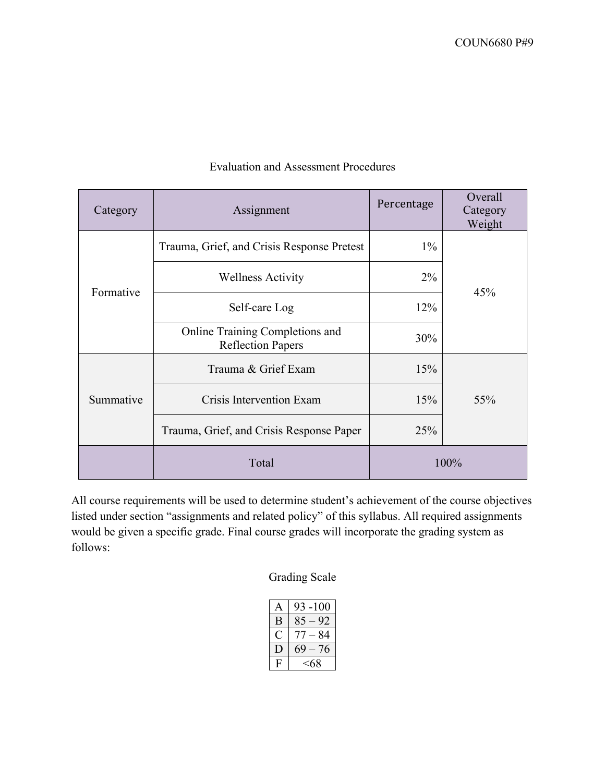| Category  | Assignment                                                  | Percentage | Overall<br>Category<br>Weight |
|-----------|-------------------------------------------------------------|------------|-------------------------------|
|           | Trauma, Grief, and Crisis Response Pretest                  | $1\%$      |                               |
|           | <b>Wellness Activity</b>                                    | $2\%$      |                               |
| Formative | Self-care Log                                               | 12%        | 45%                           |
|           | Online Training Completions and<br><b>Reflection Papers</b> | 30%        |                               |
|           | Trauma & Grief Exam                                         | 15%        |                               |
| Summative | Crisis Intervention Exam                                    | 15%        | 55%                           |
|           | Trauma, Grief, and Crisis Response Paper                    | 25%        |                               |
|           | Total                                                       | 100%       |                               |

## Evaluation and Assessment Procedures

All course requirements will be used to determine student's achievement of the course objectives listed under section "assignments and related policy" of this syllabus. All required assignments would be given a specific grade. Final course grades will incorporate the grading system as follows:

## Grading Scale

| $-100$<br>Ŷ          |
|----------------------|
| 85<br>$\overline{L}$ |
| 84                   |
| - 76<br>6            |
| -68                  |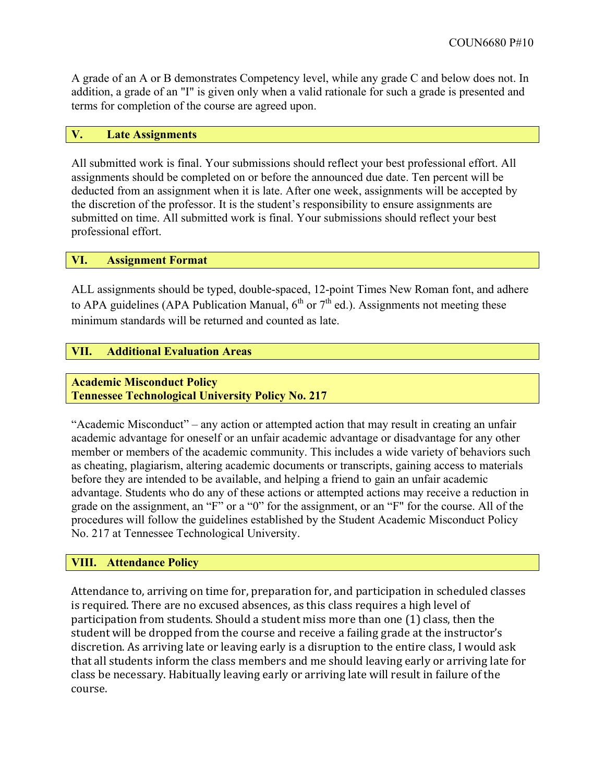A grade of an A or B demonstrates Competency level, while any grade C and below does not. In addition, a grade of an "I" is given only when a valid rationale for such a grade is presented and terms for completion of the course are agreed upon.

#### **V. Late Assignments**

All submitted work is final. Your submissions should reflect your best professional effort. All assignments should be completed on or before the announced due date. Ten percent will be deducted from an assignment when it is late. After one week, assignments will be accepted by the discretion of the professor. It is the student's responsibility to ensure assignments are submitted on time. All submitted work is final. Your submissions should reflect your best professional effort.

#### **VI. Assignment Format**

ALL assignments should be typed, double-spaced, 12-point Times New Roman font, and adhere to APA guidelines (APA Publication Manual,  $6<sup>th</sup>$  or  $7<sup>th</sup>$  ed.). Assignments not meeting these minimum standards will be returned and counted as late.

#### **VII. Additional Evaluation Areas**

#### **Academic Misconduct Policy Tennessee Technological University Policy No. 217**

"Academic Misconduct" – any action or attempted action that may result in creating an unfair academic advantage for oneself or an unfair academic advantage or disadvantage for any other member or members of the academic community. This includes a wide variety of behaviors such as cheating, plagiarism, altering academic documents or transcripts, gaining access to materials before they are intended to be available, and helping a friend to gain an unfair academic advantage. Students who do any of these actions or attempted actions may receive a reduction in grade on the assignment, an "F" or a "0" for the assignment, or an "F" for the course. All of the procedures will follow the guidelines established by the Student Academic Misconduct Policy No. 217 at Tennessee Technological University.

#### **VIII. Attendance Policy**

Attendance to, arriving on time for, preparation for, and participation in scheduled classes is required. There are no excused absences, as this class requires a high level of participation from students. Should a student miss more than one (1) class, then the student will be dropped from the course and receive a failing grade at the instructor's discretion. As arriving late or leaving early is a disruption to the entire class, I would ask that all students inform the class members and me should leaving early or arriving late for class be necessary. Habitually leaving early or arriving late will result in failure of the course.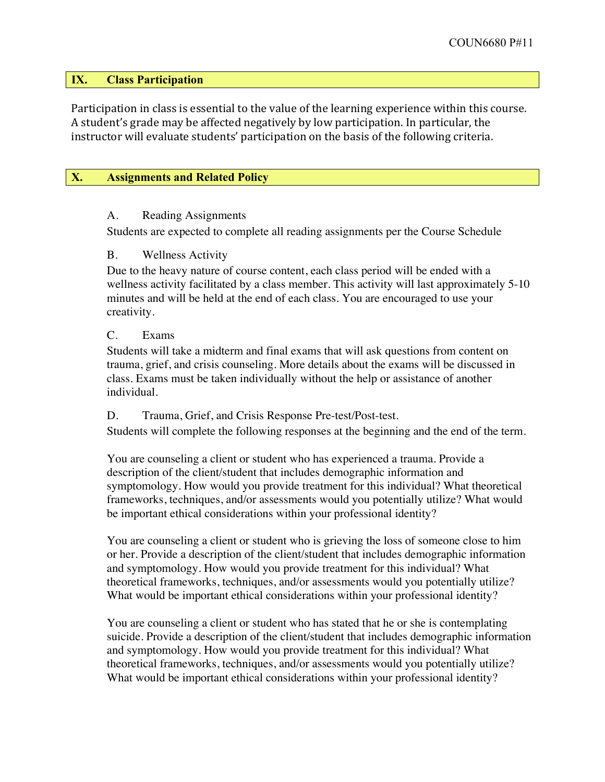## **IX. Class Participation**

Participation in class is essential to the value of the learning experience within this course. A student's grade may be affected negatively by low participation. In particular, the instructor will evaluate students' participation on the basis of the following criteria.

#### **X. Assignments and Related Policy**

## A. Reading Assignments

Students are expected to complete all reading assignments per the Course Schedule

## B. Wellness Activity

Due to the heavy nature of course content, each class period will be ended with a wellness activity facilitated by a class member. This activity will last approximately 5-10 minutes and will be held at the end of each class. You are encouraged to use your creativity.

## C. Exams

Students will take a midterm and final exams that will ask questions from content on trauma, grief, and crisis counseling. More details about the exams will be discussed in class. Exams must be taken individually without the help or assistance of another individual.

#### D. Trauma, Grief, and Crisis Response Pre-test/Post-test.

Students will complete the following responses at the beginning and the end of the term.

You are counseling a client or student who has experienced a trauma. Provide a description of the client/student that includes demographic information and symptomology. How would you provide treatment for this individual? What theoretical frameworks, techniques, and/or assessments would you potentially utilize? What would be important ethical considerations within your professional identity?

You are counseling a client or student who is grieving the loss of someone close to him or her. Provide a description of the client/student that includes demographic information and symptomology. How would you provide treatment for this individual? What theoretical frameworks, techniques, and/or assessments would you potentially utilize? What would be important ethical considerations within your professional identity?

You are counseling a client or student who has stated that he or she is contemplating suicide. Provide a description of the client/student that includes demographic information and symptomology. How would you provide treatment for this individual? What theoretical frameworks, techniques, and/or assessments would you potentially utilize? What would be important ethical considerations within your professional identity?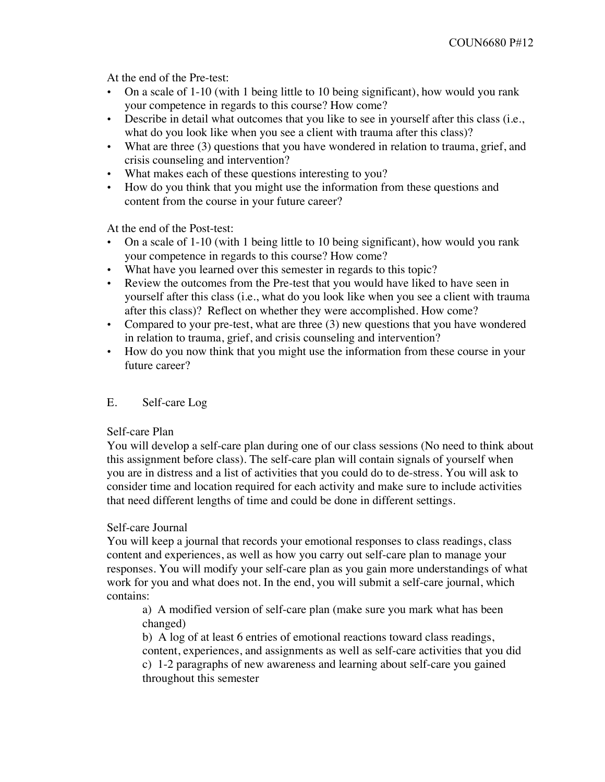At the end of the Pre-test:

- On a scale of 1-10 (with 1 being little to 10 being significant), how would you rank your competence in regards to this course? How come?
- Describe in detail what outcomes that you like to see in yourself after this class (i.e., what do you look like when you see a client with trauma after this class)?
- What are three (3) questions that you have wondered in relation to trauma, grief, and crisis counseling and intervention?
- What makes each of these questions interesting to you?
- How do you think that you might use the information from these questions and content from the course in your future career?

At the end of the Post-test:

- On a scale of 1-10 (with 1 being little to 10 being significant), how would you rank your competence in regards to this course? How come?
- What have you learned over this semester in regards to this topic?
- Review the outcomes from the Pre-test that you would have liked to have seen in yourself after this class (i.e., what do you look like when you see a client with trauma after this class)? Reflect on whether they were accomplished. How come?
- Compared to your pre-test, what are three (3) new questions that you have wondered in relation to trauma, grief, and crisis counseling and intervention?
- How do you now think that you might use the information from these course in your future career?

#### E. Self-care Log

#### Self-care Plan

You will develop a self-care plan during one of our class sessions (No need to think about this assignment before class). The self-care plan will contain signals of yourself when you are in distress and a list of activities that you could do to de-stress. You will ask to consider time and location required for each activity and make sure to include activities that need different lengths of time and could be done in different settings.

## Self-care Journal

You will keep a journal that records your emotional responses to class readings, class content and experiences, as well as how you carry out self-care plan to manage your responses. You will modify your self-care plan as you gain more understandings of what work for you and what does not. In the end, you will submit a self-care journal, which contains:

a) A modified version of self-care plan (make sure you mark what has been changed)

b) A log of at least 6 entries of emotional reactions toward class readings, content, experiences, and assignments as well as self-care activities that you did c) 1-2 paragraphs of new awareness and learning about self-care you gained throughout this semester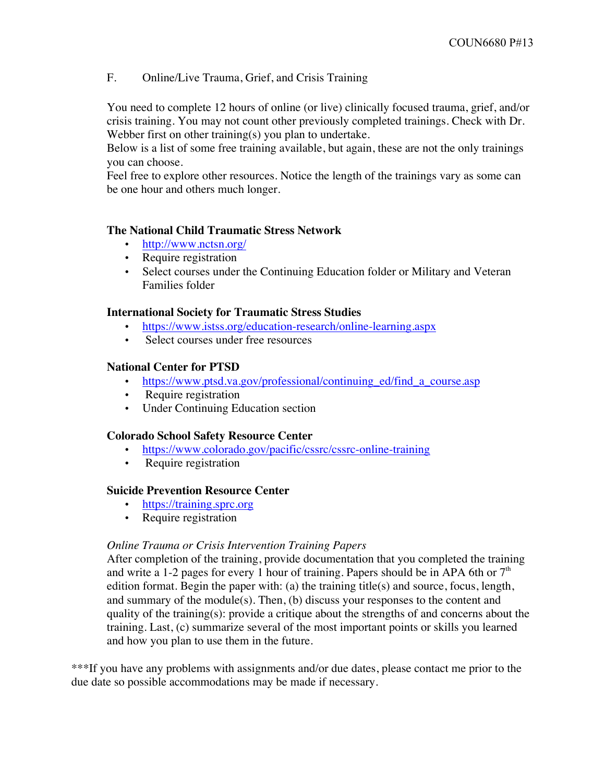## F. Online/Live Trauma, Grief, and Crisis Training

You need to complete 12 hours of online (or live) clinically focused trauma, grief, and/or crisis training. You may not count other previously completed trainings. Check with Dr. Webber first on other training(s) you plan to undertake.

Below is a list of some free training available, but again, these are not the only trainings you can choose.

Feel free to explore other resources. Notice the length of the trainings vary as some can be one hour and others much longer.

#### **The National Child Traumatic Stress Network**

- http://www.nctsn.org/
- Require registration
- Select courses under the Continuing Education folder or Military and Veteran Families folder

#### **International Society for Traumatic Stress Studies**

- https://www.istss.org/education-research/online-learning.aspx
- Select courses under free resources

#### **National Center for PTSD**

- https://www.ptsd.va.gov/professional/continuing\_ed/find\_a\_course.asp
- Require registration
- Under Continuing Education section

#### **Colorado School Safety Resource Center**

- https://www.colorado.gov/pacific/cssrc/cssrc-online-training
- Require registration

#### **Suicide Prevention Resource Center**

- https://training.sprc.org
- Require registration

#### *Online Trauma or Crisis Intervention Training Papers*

After completion of the training, provide documentation that you completed the training and write a 1-2 pages for every 1 hour of training. Papers should be in APA 6th or  $7<sup>th</sup>$ edition format. Begin the paper with: (a) the training title(s) and source, focus, length, and summary of the module(s). Then, (b) discuss your responses to the content and quality of the training(s): provide a critique about the strengths of and concerns about the training. Last, (c) summarize several of the most important points or skills you learned and how you plan to use them in the future.

\*\*\*If you have any problems with assignments and/or due dates, please contact me prior to the due date so possible accommodations may be made if necessary.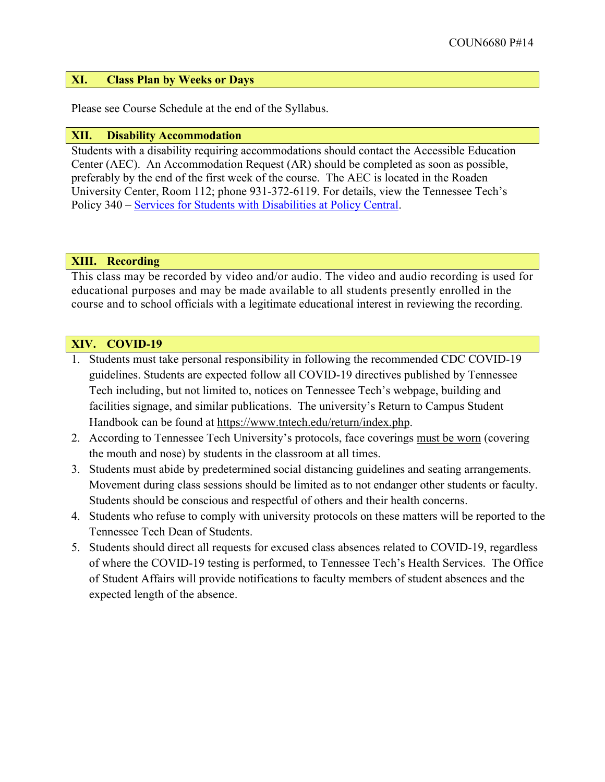#### **XI. Class Plan by Weeks or Days**

Please see Course Schedule at the end of the Syllabus.

## **XII. Disability Accommodation**

Students with a disability requiring accommodations should contact the Accessible Education Center (AEC). An Accommodation Request (AR) should be completed as soon as possible, preferably by the end of the first week of the course. The AEC is located in the Roaden University Center, Room 112; phone 931-372-6119. For details, view the Tennessee Tech's Policy 340 – Services for Students with Disabilities at Policy Central.

## **XIII. Recording**

This class may be recorded by video and/or audio. The video and audio recording is used for educational purposes and may be made available to all students presently enrolled in the course and to school officials with a legitimate educational interest in reviewing the recording.

## **XIV. COVID-19**

- 1. Students must take personal responsibility in following the recommended CDC COVID-19 guidelines. Students are expected follow all COVID-19 directives published by Tennessee Tech including, but not limited to, notices on Tennessee Tech's webpage, building and facilities signage, and similar publications. The university's Return to Campus Student Handbook can be found at https://www.tntech.edu/return/index.php.
- 2. According to Tennessee Tech University's protocols, face coverings must be worn (covering the mouth and nose) by students in the classroom at all times.
- 3. Students must abide by predetermined social distancing guidelines and seating arrangements. Movement during class sessions should be limited as to not endanger other students or faculty. Students should be conscious and respectful of others and their health concerns.
- 4. Students who refuse to comply with university protocols on these matters will be reported to the Tennessee Tech Dean of Students.
- 5. Students should direct all requests for excused class absences related to COVID-19, regardless of where the COVID-19 testing is performed, to Tennessee Tech's Health Services. The Office of Student Affairs will provide notifications to faculty members of student absences and the expected length of the absence.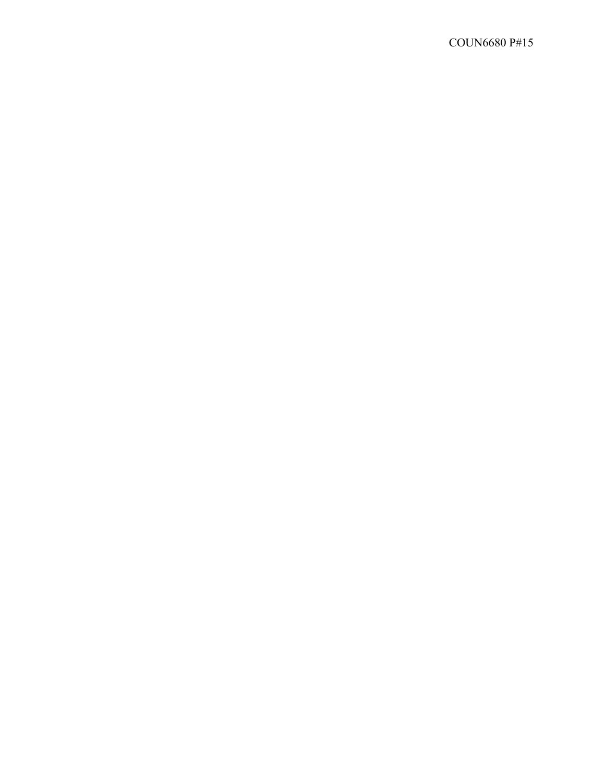## COUN6680 P#15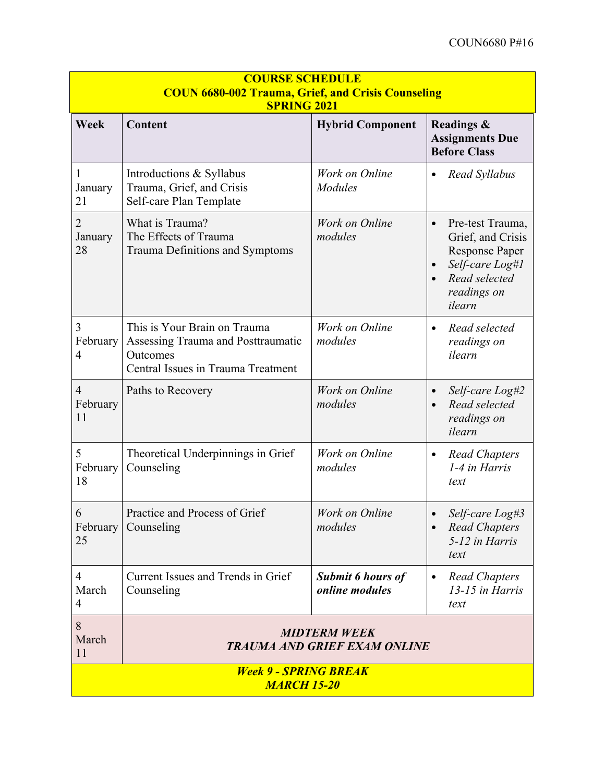| <b>COURSE SCHEDULE</b><br><b>COUN 6680-002 Trauma, Grief, and Crisis Counseling</b><br><b>SPRING 2021</b> |                                                                                                                      |                                            |                                                                                                                                                |
|-----------------------------------------------------------------------------------------------------------|----------------------------------------------------------------------------------------------------------------------|--------------------------------------------|------------------------------------------------------------------------------------------------------------------------------------------------|
| Week                                                                                                      | Content                                                                                                              | <b>Hybrid Component</b>                    | <b>Readings &amp;</b><br><b>Assignments Due</b><br><b>Before Class</b>                                                                         |
| $\mathbf{1}$<br>January<br>21                                                                             | Introductions & Syllabus<br>Trauma, Grief, and Crisis<br>Self-care Plan Template                                     | Work on Online<br>Modules                  | Read Syllabus<br>$\bullet$                                                                                                                     |
| $\overline{2}$<br>January<br>28                                                                           | What is Trauma?<br>The Effects of Trauma<br>Trauma Definitions and Symptoms                                          | Work on Online<br>modules                  | Pre-test Trauma,<br>$\bullet$<br>Grief, and Crisis<br>Response Paper<br>Self-care Log#1<br>$\bullet$<br>Read selected<br>readings on<br>ilearn |
| $\overline{3}$<br>February<br>$\overline{4}$                                                              | This is Your Brain on Trauma<br>Assessing Trauma and Posttraumatic<br>Outcomes<br>Central Issues in Trauma Treatment | Work on Online<br>modules                  | Read selected<br>$\bullet$<br>readings on<br>ilearn                                                                                            |
| $\overline{4}$<br>February<br>11                                                                          | Paths to Recovery                                                                                                    | Work on Online<br>modules                  | Self-care Log#2<br>$\bullet$<br>Read selected<br>readings on<br>ilearn                                                                         |
| 5<br>February<br>18                                                                                       | Theoretical Underpinnings in Grief<br>Counseling                                                                     | Work on Online<br>modules                  | <b>Read Chapters</b><br>$\bullet$<br>1-4 in Harris<br>text                                                                                     |
| 6<br>February<br>25                                                                                       | Practice and Process of Grief<br>Counseling                                                                          | Work on Online<br>modules                  | • Self-care $Log#3$<br><b>Read Chapters</b><br>5-12 in Harris<br>text                                                                          |
| $\overline{4}$<br>March<br>4                                                                              | Current Issues and Trends in Grief<br>Counseling                                                                     | <b>Submit 6 hours of</b><br>online modules | <b>Read Chapters</b><br>$\bullet$<br>13-15 in Harris<br>text                                                                                   |
| 8<br><b>MIDTERM WEEK</b><br>March<br><b>TRAUMA AND GRIEF EXAM ONLINE</b><br>11                            |                                                                                                                      |                                            |                                                                                                                                                |
| <b>Week 9 - SPRING BREAK</b><br><b>MARCH 15-20</b>                                                        |                                                                                                                      |                                            |                                                                                                                                                |